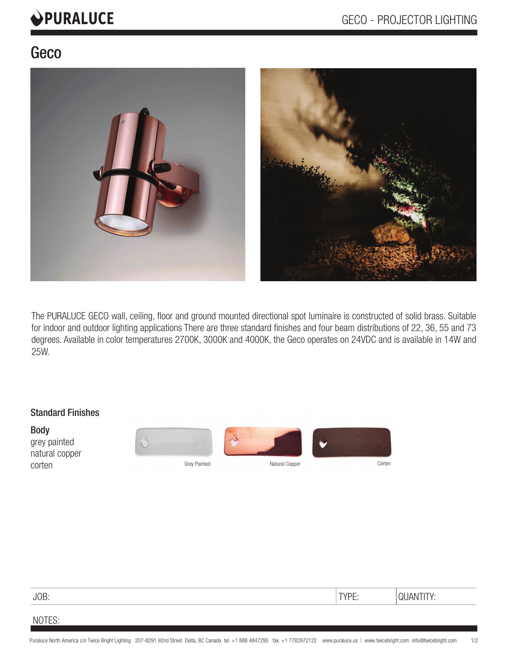# PURALUCE

# Geco



The PURALUCE GECO wall, ceiling, floor and ground mounted directional spot luminaire is constructed of solid brass. Suitable for indoor and outdoor lighting applications There are three standard finishes and four beam distributions of 22, 36, 55 and 73 degrees. Available in color temperatures 2700K, 3000K and 4000K, the Geco operates on 24VDC and is available in 14W and 25W.

#### Standard Finishes

Body grey painted natural copper COTTEN Grey Painted Corten Grey Painted Natural Copper Corten Corten Corten







JOB: TYPE: QUANTITY:

## NOTES: